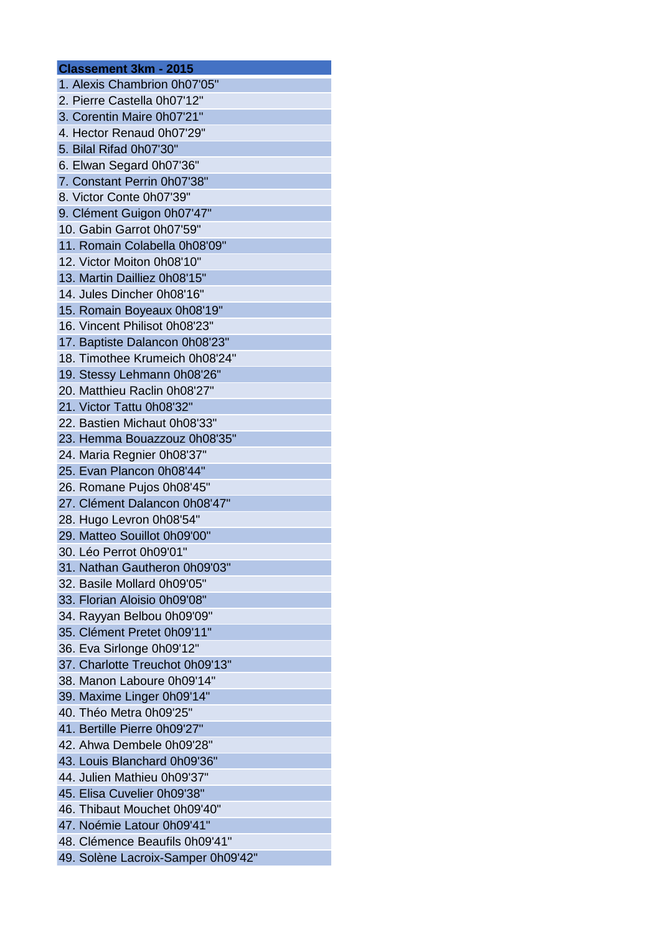## **Classement 3km - 2015** 1. Alexis Chambrion 0h07'05" 2. Pierre Castella 0h07'12" 3. Corentin Maire 0h07'21" 4. Hector Renaud 0h07'29" 5. Bilal Rifad 0h07'30" 6. Elwan Segard 0h07'36" 7. Constant Perrin 0h07'38" 8. Victor Conte 0h07'39" 9. Clément Guigon 0h07'47" 10. Gabin Garrot 0h07'59" 11. Romain Colabella 0h08'09" 12. Victor Moiton 0h08'10" 13. Martin Dailliez 0h08'15" 14. Jules Dincher 0h08'16" 15. Romain Boyeaux 0h08'19" 16. Vincent Philisot 0h08'23" 17. Baptiste Dalancon 0h08'23" 18. Timothee Krumeich 0h08'24" 19. Stessy Lehmann 0h08'26" 20. Matthieu Raclin 0h08'27" 21. Victor Tattu 0h08'32" 22. Bastien Michaut 0h08'33" 23. Hemma Bouazzouz 0h08'35" 24. Maria Regnier 0h08'37" 25. Evan Plancon 0h08'44" 26. Romane Pujos 0h08'45" 27. Clément Dalancon 0h08'47" 28. Hugo Levron 0h08'54" 29. Matteo Souillot 0h09'00" 30. Léo Perrot 0h09'01" 31. Nathan Gautheron 0h09'03" 32. Basile Mollard 0h09'05" 33. Florian Aloisio 0h09'08" 34. Rayyan Belbou 0h09'09" 35. Clément Pretet 0h09'11" 36. Eva Sirlonge 0h09'12" 37. Charlotte Treuchot 0h09'13" 38. Manon Laboure 0h09'14" 39. Maxime Linger 0h09'14" 40. Théo Metra 0h09'25" 41. Bertille Pierre 0h09'27" 42. Ahwa Dembele 0h09'28" 43. Louis Blanchard 0h09'36" 44. Julien Mathieu 0h09'37" 45. Elisa Cuvelier 0h09'38" 46. Thibaut Mouchet 0h09'40" 47. Noémie Latour 0h09'41" 48. Clémence Beaufils 0h09'41" 49. Solène Lacroix-Samper 0h09'42"